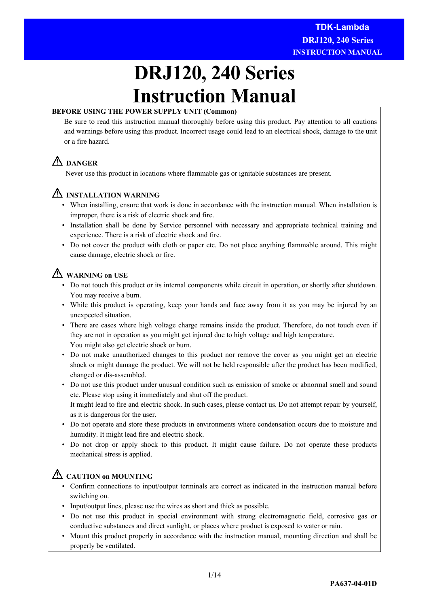# **DRJ120, 240 Series Instruction Manual**

# **BEFORE USING THE POWER SUPPLY UNIT (Common)**

Be sure to read this instruction manual thoroughly before using this product. Pay attention to all cautions and warnings before using this product. Incorrect usage could lead to an electrical shock, damage to the unit or a fire hazard.

# **DANGER**

Never use this product in locations where flammable gas or ignitable substances are present.

# **INSTALLATION WARNING**

- When installing, ensure that work is done in accordance with the instruction manual. When installation is improper, there is a risk of electric shock and fire.
- Installation shall be done by Service personnel with necessary and appropriate technical training and experience. There is a risk of electric shock and fire.
- Do not cover the product with cloth or paper etc. Do not place anything flammable around. This might cause damage, electric shock or fire.

# **WARNING on USE**

- Do not touch this product or its internal components while circuit in operation, or shortly after shutdown. You may receive a burn.
- While this product is operating, keep your hands and face away from it as you may be injured by an unexpected situation.
- There are cases where high voltage charge remains inside the product. Therefore, do not touch even if they are not in operation as you might get injured due to high voltage and high temperature. You might also get electric shock or burn.
- Do not make unauthorized changes to this product nor remove the cover as you might get an electric shock or might damage the product. We will not be held responsible after the product has been modified, changed or dis-assembled.
- Do not use this product under unusual condition such as emission of smoke or abnormal smell and sound etc. Please stop using it immediately and shut off the product.

 It might lead to fire and electric shock. In such cases, please contact us. Do not attempt repair by yourself, as it is dangerous for the user.

- Do not operate and store these products in environments where condensation occurs due to moisture and humidity. It might lead fire and electric shock.
- Do not drop or apply shock to this product. It might cause failure. Do not operate these products mechanical stress is applied.

# **CAUTION on MOUNTING**

- Confirm connections to input/output terminals are correct as indicated in the instruction manual before switching on.
- Input/output lines, please use the wires as short and thick as possible.
- Do not use this product in special environment with strong electromagnetic field, corrosive gas or conductive substances and direct sunlight, or places where product is exposed to water or rain.
- Mount this product properly in accordance with the instruction manual, mounting direction and shall be properly be ventilated.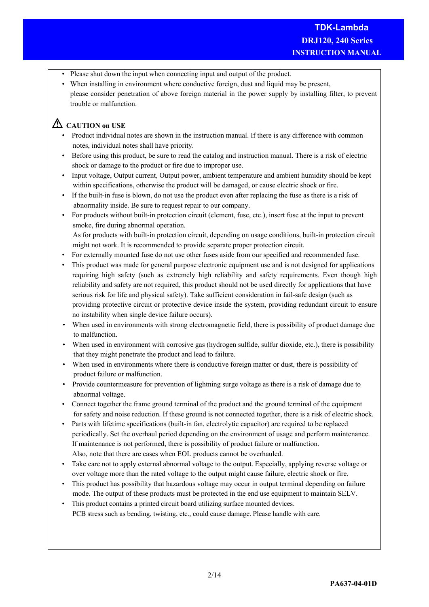- Please shut down the input when connecting input and output of the product.
- When installing in environment where conductive foreign, dust and liquid may be present, please consider penetration of above foreign material in the power supply by installing filter, to prevent trouble or malfunction.

# **CAUTION on USE**

- Product individual notes are shown in the instruction manual. If there is any difference with common notes, individual notes shall have priority.
- Before using this product, be sure to read the catalog and instruction manual. There is a risk of electric shock or damage to the product or fire due to improper use.
- Input voltage, Output current, Output power, ambient temperature and ambient humidity should be kept within specifications, otherwise the product will be damaged, or cause electric shock or fire.
- If the built-in fuse is blown, do not use the product even after replacing the fuse as there is a risk of abnormality inside. Be sure to request repair to our company.
- For products without built-in protection circuit (element, fuse, etc.), insert fuse at the input to prevent smoke, fire during abnormal operation. As for products with built-in protection circuit, depending on usage conditions, built-in protection circuit
- might not work. It is recommended to provide separate proper protection circuit. • For externally mounted fuse do not use other fuses aside from our specified and recommended fuse.
- This product was made for general purpose electronic equipment use and is not designed for applications requiring high safety (such as extremely high reliability and safety requirements. Even though high reliability and safety are not required, this product should not be used directly for applications that have serious risk for life and physical safety). Take sufficient consideration in fail-safe design (such as providing protective circuit or protective device inside the system, providing redundant circuit to ensure no instability when single device failure occurs).
- When used in environments with strong electromagnetic field, there is possibility of product damage due to malfunction.
- When used in environment with corrosive gas (hydrogen sulfide, sulfur dioxide, etc.), there is possibility that they might penetrate the product and lead to failure.
- When used in environments where there is conductive foreign matter or dust, there is possibility of product failure or malfunction.
- Provide countermeasure for prevention of lightning surge voltage as there is a risk of damage due to abnormal voltage.
- Connect together the frame ground terminal of the product and the ground terminal of the equipment for safety and noise reduction. If these ground is not connected together, there is a risk of electric shock.
- Parts with lifetime specifications (built-in fan, electrolytic capacitor) are required to be replaced periodically. Set the overhaul period depending on the environment of usage and perform maintenance. If maintenance is not performed, there is possibility of product failure or malfunction. Also, note that there are cases when EOL products cannot be overhauled.
- Take care not to apply external abnormal voltage to the output. Especially, applying reverse voltage or over voltage more than the rated voltage to the output might cause failure, electric shock or fire.
- This product has possibility that hazardous voltage may occur in output terminal depending on failure mode. The output of these products must be protected in the end use equipment to maintain SELV.
- This product contains a printed circuit board utilizing surface mounted devices. PCB stress such as bending, twisting, etc., could cause damage. Please handle with care.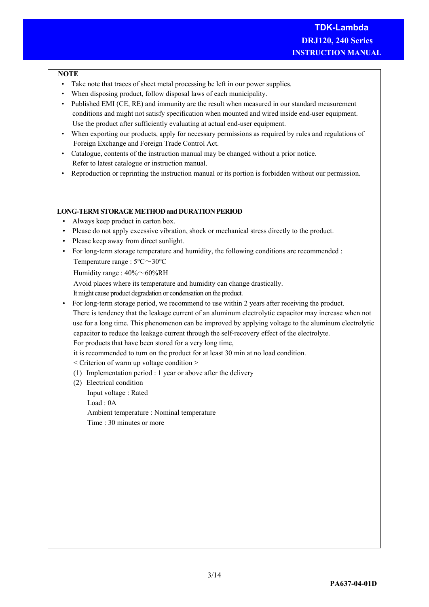## **NOTE**

- Take note that traces of sheet metal processing be left in our power supplies.
- When disposing product, follow disposal laws of each municipality.
- Published EMI (CE, RE) and immunity are the result when measured in our standard measurement conditions and might not satisfy specification when mounted and wired inside end-user equipment. Use the product after sufficiently evaluating at actual end-user equipment.
- When exporting our products, apply for necessary permissions as required by rules and regulations of Foreign Exchange and Foreign Trade Control Act.
- Catalogue, contents of the instruction manual may be changed without a prior notice. Refer to latest catalogue or instruction manual.
- Reproduction or reprinting the instruction manual or its portion is forbidden without our permission.

## **LONG-TERM STORAGE METHOD and DURATION PERIOD**

- Always keep product in carton box.
- Please do not apply excessive vibration, shock or mechanical stress directly to the product.
- Please keep away from direct sunlight.
- For long-term storage temperature and humidity, the following conditions are recommended : Temperature range : 5℃~30℃

Humidity range :  $40\% \sim 60\% RH$ 

Avoid places where its temperature and humidity can change drastically.

It might cause product degradation or condensation on the product.

• For long-term storage period, we recommend to use within 2 years after receiving the product.

 There is tendency that the leakage current of an aluminum electrolytic capacitor may increase when not use for a long time. This phenomenon can be improved by applying voltage to the aluminum electrolytic capacitor to reduce the leakage current through the self-recovery effect of the electrolyte.

For products that have been stored for a very long time,

it is recommended to turn on the product for at least 30 min at no load condition.

< Criterion of warm up voltage condition >

- (1) Implementation period : 1 year or above after the delivery
- (2) Electrical condition

 Input voltage : Rated Load : 0A Ambient temperature : Nominal temperature Time : 30 minutes or more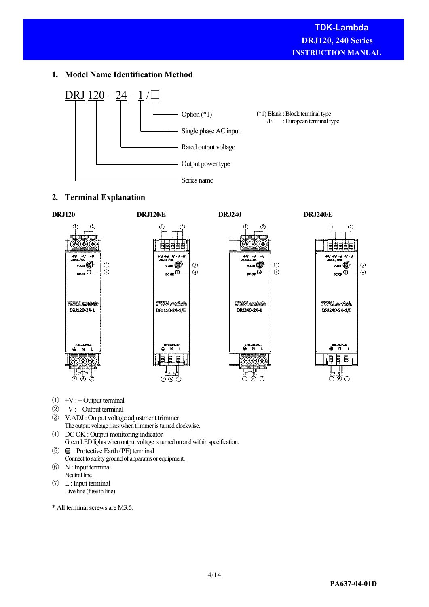# **1. Model Name Identification Method**



# **2. Terminal Explanation**



- $\textcircled{1}$  +V : + Output terminal
- $\circled{2}$  –V : Output terminal
- ③ V.ADJ : Output voltage adjustment trimmer The output voltage rises when trimmer is turned clockwise.
- ④ DC OK : Output monitoring indicator Green LED lights when output voltage is turned on and within specification.
- ⑤ : Protective Earth (PE) terminal Connect to safety ground of apparatus or equipment.
- ⑥ N : Input terminal Neutral line
- ⑦ L : Input terminal Live line (fuse in line)

\* All terminal screws are M3.5.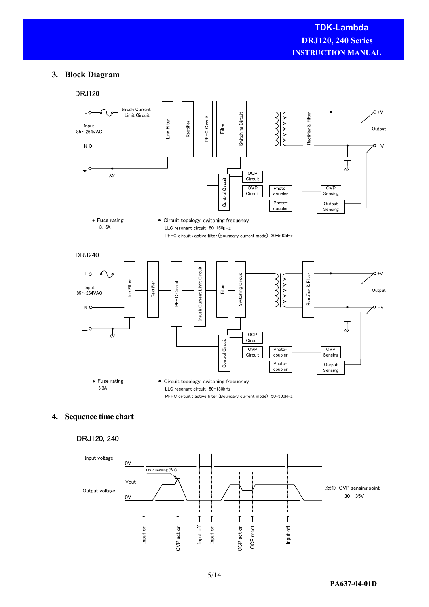# **3. Block Diagram**



# **4. Sequence time chart**

# DRJ120, 240

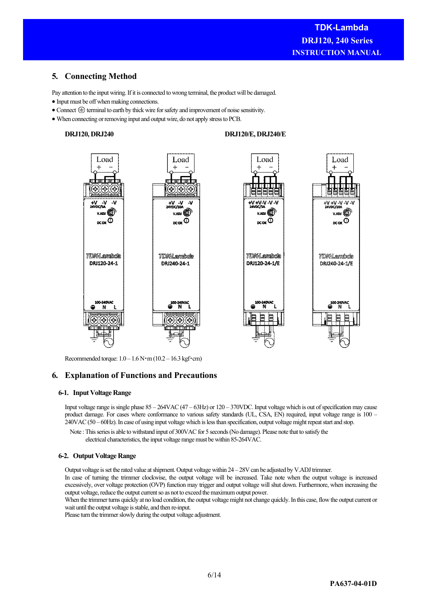# **5. Connecting Method**

Pay attention to the input wiring. If it is connected to wrong terminal, the product will be damaged.

- Input must be off when making connections.
- $\bullet$  Connect  $\oplus$  terminal to earth by thick wire for safety and improvement of noise sensitivity.
- When connecting or removing input and output wire, do not apply stress to PCB.

#### **DRJ120, DRJ240**

#### **DRJ120/E, DRJ240/E**



Recommended torque: 1.0 – 1.6 N・m (10.2 – 16.3 kgf・cm)

# **6. Explanation of Functions and Precautions**

#### **6-1. Input Voltage Range**

Input voltage range is single phase 85 – 264VAC (47 – 63Hz) or 120 – 370VDC. Input voltage which is out of specification may cause product damage. For cases where conformance to various safety standards (UL, CSA, EN) required, input voltage range is 100 – 240VAC (50 – 60Hz). In case of using input voltage which is less than specification, output voltage might repeat start and stop.

Note : This series is able to withstand input of 300VAC for 5 seconds (No damage). Please note that to satisfy the electrical characteristics, the input voltage range must be within 85-264VAC.

#### **6-2. Output Voltage Range**

Output voltage is set the rated value at shipment. Output voltage within 24 – 28V can be adjusted by V.ADJ trimmer.

In case of turning the trimmer clockwise, the output voltage will be increased. Take note when the output voltage is increased excessively, over voltage protection (OVP) function may trigger and output voltage will shut down. Furthermore, when increasing the output voltage, reduce the output current so as not to exceed the maximum output power.

When the trimmer turns quickly at no load condition, the output voltage might not change quickly. In this case, flow the output current or wait until the output voltage is stable, and then re-input.

Please turn the trimmer slowly during the output voltage adjustment.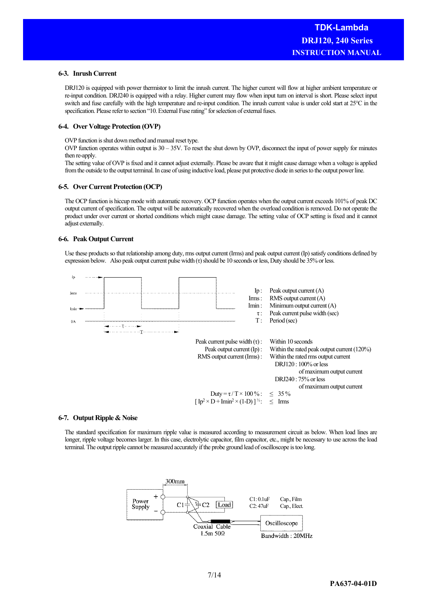#### **6-3. Inrush Current**

DRJ120 is equipped with power thermistor to limit the inrush current. The higher current will flow at higher ambient temperature or re-input condition. DRJ240 is equipped with a relay. Higher current may flow when input turn on interval is short. Please select input switch and fuse carefully with the high temperature and re-input condition. The inrush current value is under cold start at 25°C in the specification. Please refer to section "10. External Fuse rating" for selection of external fuses.

#### **6-4. Over Voltage Protection (OVP)**

OVP function is shut down method and manual reset type.

OVP function operates within output is  $30 - 35V$ . To reset the shut down by OVP, disconnect the input of power supply for minutes then re-apply.

The setting value of OVP is fixed and it cannot adjust externally. Please be aware that it might cause damage when a voltage is applied from the outside to the output terminal. In case of using inductive load, please put protective diode in series to the output power line.

#### **6-5. Over Current Protection (OCP)**

The OCP function is hiccup mode with automatic recovery. OCP function operates when the output current exceeds 101% of peak DC output current of specification. The output will be automatically recovered when the overload condition is removed. Do not operate the product under over current or shorted conditions which might cause damage. The setting value of OCP setting is fixed and it cannot adjust externally.

#### **6-6. Peak Output Current**

Use these products so that relationship among duty, rms output current (Irms) and peak output current (Ip) satisfy conditions defined by expression below. Also peak output current pulse width (τ) should be 10 seconds or less, Duty should be 35% or less.



#### **6-7. Output Ripple & Noise**

The standard specification for maximum ripple value is measured according to measurement circuit as below. When load lines are longer, ripple voltage becomes larger. In this case, electrolytic capacitor, film capacitor, etc., might be necessary to use across the load terminal. The output ripple cannot be measured accurately if the probe ground lead of oscilloscope is too long.

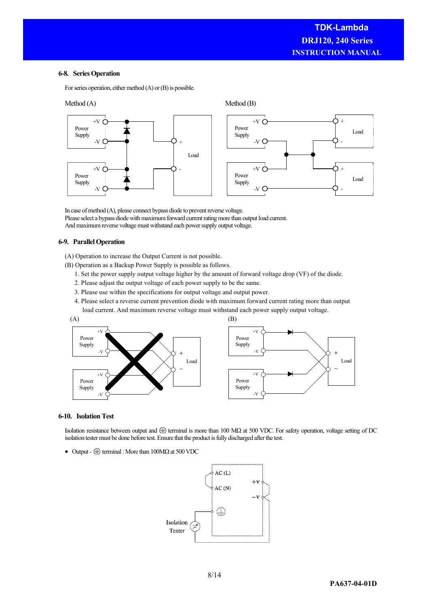#### **6-8. Series Operation**

For series operation, either method (A) or (B) is possible.



In case of method (A), please connect bypass diode to prevent reverse voltage. Please select a bypass diode with maximum forward current rating more than output load current. And maximum reverse voltage must withstand each power supply output voltage.

#### **6-9. Parallel Operation**

(A) Operation to increase the Output Current is not possible.

(B) Operation as a Backup Power Supply is possible as follows.

- 1. Set the power supply output voltage higher by the amount of forward voltage drop (VF) of the diode.
- 2. Please adjust the output voltage of each power supply to be the same.
- 3. Please use within the specifications for output voltage and output power.
- 4. Please select a reverse current prevention diode with maximum forward current rating more than output load current. And maximum reverse voltage must withstand each power supply output voltage.



#### **6-10. Isolation Test**

Isolation resistance between output and  $\oplus$  terminal is more than 100 MΩ at 500 VDC. For safety operation, voltage setting of DC isolation tester must be done before test. Ensure that the product is fully discharged after the test.

 $\bullet$  Output -  $\oplus$  terminal : More than 100MΩ at 500 VDC

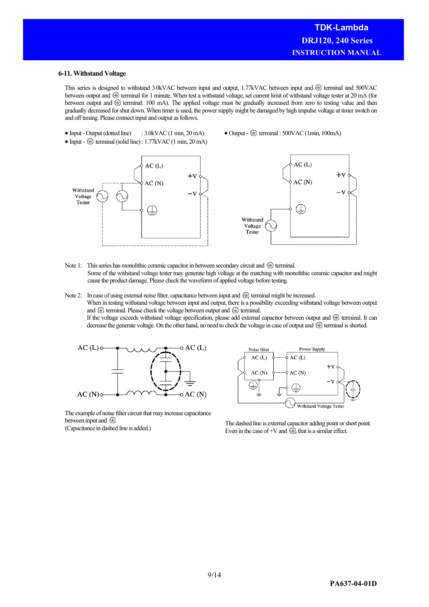#### **6-11. Withstand Voltage**

This series is designed to withstand 3.0kVAC between input and output, 1.77kVAC between input and  $\oplus$  terminal and 500VAC between output and  $\oplus$  terminal for 1 minute. When test a withstand voltage, set current limit of withstand voltage tester at 20 mA (for between output and  $\oplus$  terminal: 100 mA). The applied voltage must be gradually increased from zero to testing value and then gradually decreased for shut down. When timer is used, the power supply might be damaged by high impulse voltage at timer switch on and off timing. Please connect input and output as follows.

- Input Output (dotted line) : 3.0kVAC (1 min, 20 mA)  $\bullet$  Input -  $\circledast$  terminal (solid line) : 1.77kVAC (1 min, 20 mA)
- $\bullet$  Output  $\oplus$  terminal : 500VAC (1min, 100mA)



Note 1: This series has monolithic ceramic capacitor in between secondary circuit and  $\oplus$  terminal. Some of the withstand voltage tester may generate high voltage at the matching with monolithic ceramic capacitor and might cause the product damage. Please check the waveform of applied voltage before testing.

Note 2: In case of using external noise filter, capacitance between input and  $\oplus$  terminal might be increased. When in testing withstand voltage between input and output, there is a possibility exceeding withstand voltage between output and  $\oplus$  terminal. Please check the voltage between output and  $\oplus$  terminal. If the voltage exceeds withstand voltage specification, please add external capacitor between output and  $\oplus$  terminal. It can decrease the generate voltage. On the other hand, no need to check the voltage in case of output and  $\bigoplus$  terminal is shorted.



Power Supply Noise filter  $AC(L)$  $AC(L)$  $+1$  $AC(N)$  $AC(N)$ (╧ Withstand Voltage Tester

The example of noise filter circuit that may increase capacitance between input and  $\bigoplus$ 

between input and  $\bullet$ .<br>
(Capacitance in dashed line is added.) The dashed line is external capacitor adding point or short point.<br>
Even in the gase of N and  $\bullet$  that is a similar offset Even in the case of +V and  $\hat{\oplus}$ , that is a similar effect.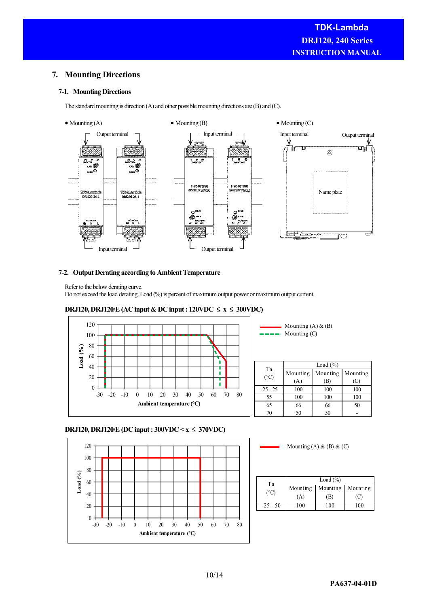# **7. Mounting Directions**

# **7-1. Mounting Directions**

The standard mounting is direction (A) and other possible mounting directions are (B) and (C).



### **7-2. Output Derating according to Ambient Temperature**

Refer to the below derating curve.

Do not exceed the load derating. Load (%) is percent of maximum output power or maximum output current.



# DRJ120, DRJ120/E (AC input & DC input :  $120$ VDC ≤  $\text{x}$  ≤ 300VDC)

|      | Load $(\%)$                    |  |
|------|--------------------------------|--|
| Ta   | Mounting   Mounting   Mounting |  |
| (°C) |                                |  |

Mounting (A) & (B) Mounting (C)

| $\sqrt{2}$ | Ά   | (B) | (C  |
|------------|-----|-----|-----|
| $-25 - 25$ | 100 | 100 | 100 |
| 55         | 100 | 100 | 100 |
| 65         | 66  | 66  | 50  |
| 70         | 50  | 50  |     |

# **DRJ120, DRJ120/E (DC input : 300VDC < x** ≤ **370VDC)**



Mounting  $(A)$  &  $(B)$  &  $(C)$ 

| Тa             | Load $(\% )$ |          |          |
|----------------|--------------|----------|----------|
| $^{\circ}$ $C$ | Mounting     | Mounting | Mounting |
|                | (A`          | (B)      |          |
| $-25 - 50$     | 100          | 100      | 100      |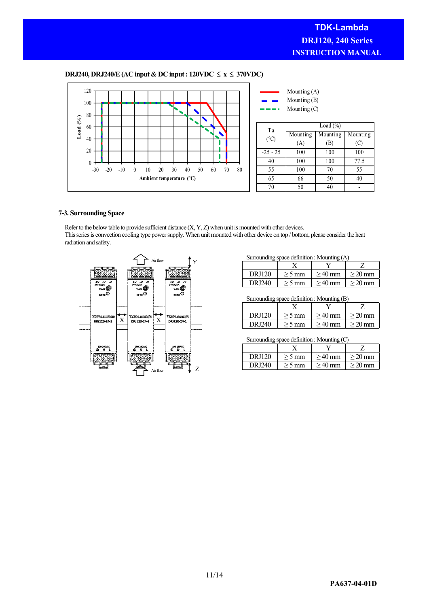## **DRJ240, DRJ240/E (AC input & DC input : 120VDC** ≤ **x** ≤ **370VDC)**



#### **7-3. Surrounding Space**

Refer to the below table to provide sufficient distance (X, Y, Z) when unit is mounted with other devices. This series is convection cooling type power supply. When unit mounted with other device on top / bottom, please consider the heat radiation and safety.



Surrounding space definition : Mounting (A)

| <b>DRJ120</b> | $>$ 5 mm | $>40$ mm | $>20 \,\mathrm{mm}$ |
|---------------|----------|----------|---------------------|
| DRJ240        | $>$ 5 mm | $>40$ mm | $>20$ mm            |

Surrounding space definition : Mounting (B)

| <b>DRJ120</b> | $>$ 5 mm | $>40$ mm | $>20 \,\mathrm{mm}$ |  |
|---------------|----------|----------|---------------------|--|
| DR.I240       | $>$ 5 mm | $>40$ mm | $>20 \,\mathrm{mm}$ |  |

#### Surrounding space definition : Mounting (C)

| <b>DRJ120</b> | $>$ 5 mm | $>40$ mm | $>20$ mm         |
|---------------|----------|----------|------------------|
| DRJ240        | $>$ 5 mm | $>40$ mm | $>20 \text{ mm}$ |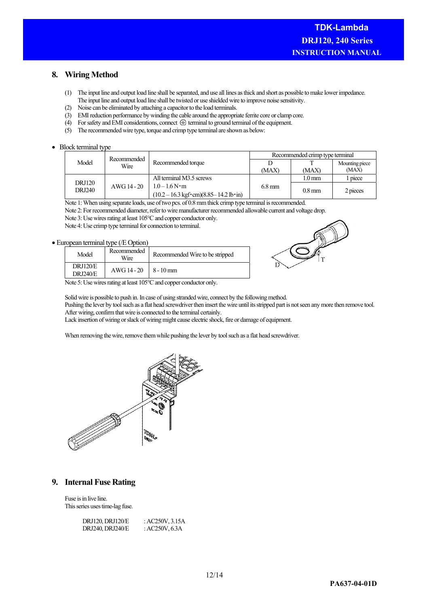# **8. Wiring Method**

- (1) The input line and output load line shall be separated, and use all lines as thick and short as possible to make lower impedance. The input line and output load line shall be twisted or use shielded wire to improve noise sensitivity.
- (2) Noise can be eliminated by attaching a capacitor to the load terminals.
- (3) EMI reduction performance by winding the cable around the appropriate ferrite core or clamp core.
- (4) For safety and EMI considerations, connect  $\bigoplus$  terminal to ground terminal of the equipment.
- (5) The recommended wire type, torque and crimp type terminal are shown as below:

#### • Block terminal type

|                         | Recommended |                                                                                     | Recommended crimp type terminal |                     |                |
|-------------------------|-------------|-------------------------------------------------------------------------------------|---------------------------------|---------------------|----------------|
| Model                   | Wire        | Recommended torque                                                                  |                                 |                     | Mounting piece |
|                         |             |                                                                                     | (MAX)                           | (MAX)               | (MAX)          |
|                         |             | All terminal M3.5 screws                                                            |                                 | $1.0 \,\mathrm{mm}$ | piece          |
| <b>DRJ120</b><br>DRJ240 | AWG 14 - 20 | $1.0 - 1.6 N \cdot m$                                                               | $6.8 \text{ mm}$                | $0.8$ mm            |                |
|                         |             | $(10.2 - 16.3 \text{ kgf} \cdot \text{cm})(8.85 - 14.2 \text{ lb} \cdot \text{in})$ |                                 |                     | 2 pieces       |

Note 1: When using separate loads, use of two pcs. of 0.8 mm thick crimp type terminal is recommended.

Note 2: For recommended diameter, refer to wire manufacturer recommended allowable current and voltage drop.

Note 3: Use wires rating at least 105°C and copper conductor only.

Note 4: Use crimp type terminal for connection to terminal.

## • European terminal type (/E Option)

| Model                              | Recommended<br>Wire | Recommended Wire to be stripped |
|------------------------------------|---------------------|---------------------------------|
| <b>DRJ120/E</b><br><b>DRI240/E</b> | AWG 14 - 20         | $8 - 10$ mm                     |



Note 5: Use wires rating at least 105°C and copper conductor only.

Solid wire is possible to push in. In case of using stranded wire, connect by the following method.

Pushing the lever by tool such as a flat head screwdriver then insert the wire until its stripped part is not seen any more then remove tool. After wiring, confirm that wire is connected to the terminal certainly.

Lack insertion of wiring or slack of wiring might cause electric shock, fire or damage of equipment.

When removing the wire, remove them while pushing the lever by tool such as a flat head screwdriver.



# **9. Internal Fuse Rating**

Fuse is in live line. This series uses time-lag fuse.

| DRJ120, DRJ120/E | : $AC250V$ , $3.15A$ |
|------------------|----------------------|
| DRJ240, DRJ240/E | : AC250V, $6.3A$     |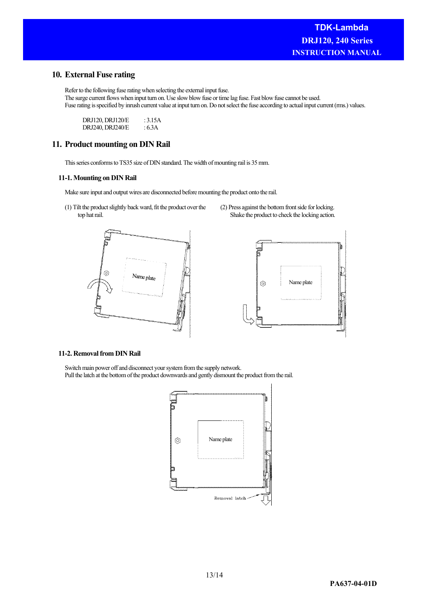# **10. External Fuse rating**

Refer to the following fuse rating when selecting the external input fuse. The surge current flows when input turn on. Use slow blow fuse or time lag fuse. Fast blow fuse cannot be used. Fuse rating is specified by inrush current value at input turn on. Do not select the fuse according to actual input current (rms.) values.

DRJ120, DRJ120/E : 3.15A DRJ240, DRJ240/E : 6.3A

# **11. Product mounting on DIN Rail**

This series conforms to TS35 size of DIN standard. The width of mounting rail is 35 mm.

#### **11-1. Mounting on DIN Rail**

Make sure input and output wires are disconnected before mounting the product onto the rail.

(1) Tilt the product slightly back ward, fit the product over the top hat rail.





(2) Press against the bottom front side for locking. Shake the product to check the locking action.

#### **11-2. Removal from DIN Rail**

Switch main power off and disconnect your system from the supply network. Pull the latch at the bottom of the product downwards and gently dismount the product from the rail.